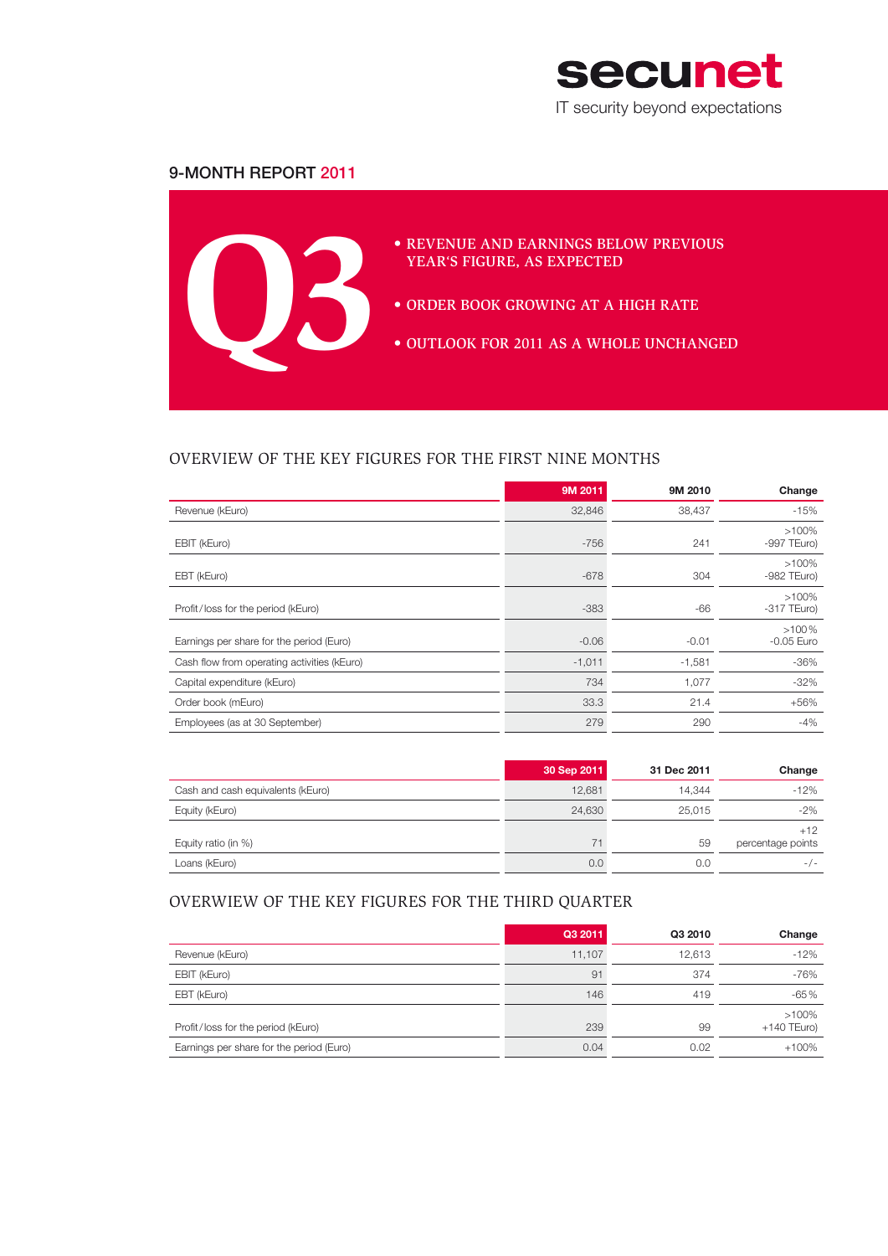

# 9-Month Report 2011



# Overview of the key figures for the first nine months

|                                             | 9M 2011  | 9M 2010  | Change                    |
|---------------------------------------------|----------|----------|---------------------------|
| Revenue (kEuro)                             | 32,846   | 38,437   | $-15%$                    |
| EBIT (kEuro)                                | $-756$   | 241      | $>100\%$<br>$-997$ TEuro) |
| EBT (kEuro)                                 | $-678$   | 304      | $>100\%$<br>$-982$ TEuro) |
| Profit/loss for the period (kEuro)          | $-383$   | $-66$    | $>100\%$<br>$-317$ TEuro) |
| Earnings per share for the period (Euro)    | $-0.06$  | $-0.01$  | $>100\%$<br>$-0.05$ Euro  |
| Cash flow from operating activities (kEuro) | $-1,011$ | $-1,581$ | $-36\%$                   |
| Capital expenditure (kEuro)                 | 734      | 1,077    | $-32\%$                   |
| Order book (mEuro)                          | 33.3     | 21.4     | $+56%$                    |
| Employees (as at 30 September)              | 279      | 290      | -4%                       |

|                                   | 30 Sep 2011 | 31 Dec 2011 | Change                     |
|-----------------------------------|-------------|-------------|----------------------------|
| Cash and cash equivalents (kEuro) | 12,681      | 14.344      | $-12%$                     |
| Equity (kEuro)                    | 24,630      | 25,015      | $-2\%$                     |
| Equity ratio (in %)               | 71          | 59          | $+12$<br>percentage points |
| Loans (kEuro)                     | 0.0         | 0.0         | $-/-$                      |

## Overwiew of the key figures for the third quarter

|                                          | Q3 2011 | Q3 2010 | Change                    |
|------------------------------------------|---------|---------|---------------------------|
| Revenue (kEuro)                          | 11.107  | 12,613  | $-12%$                    |
| EBIT (kEuro)                             | 91      | 374     | $-76%$                    |
| EBT (kEuro)                              | 146     | 419     | $-65%$                    |
| Profit/loss for the period (kEuro)       | 239     | 99      | $>100\%$<br>$+140$ TEuro) |
| Earnings per share for the period (Euro) | 0.04    | 0.02    | $+100%$                   |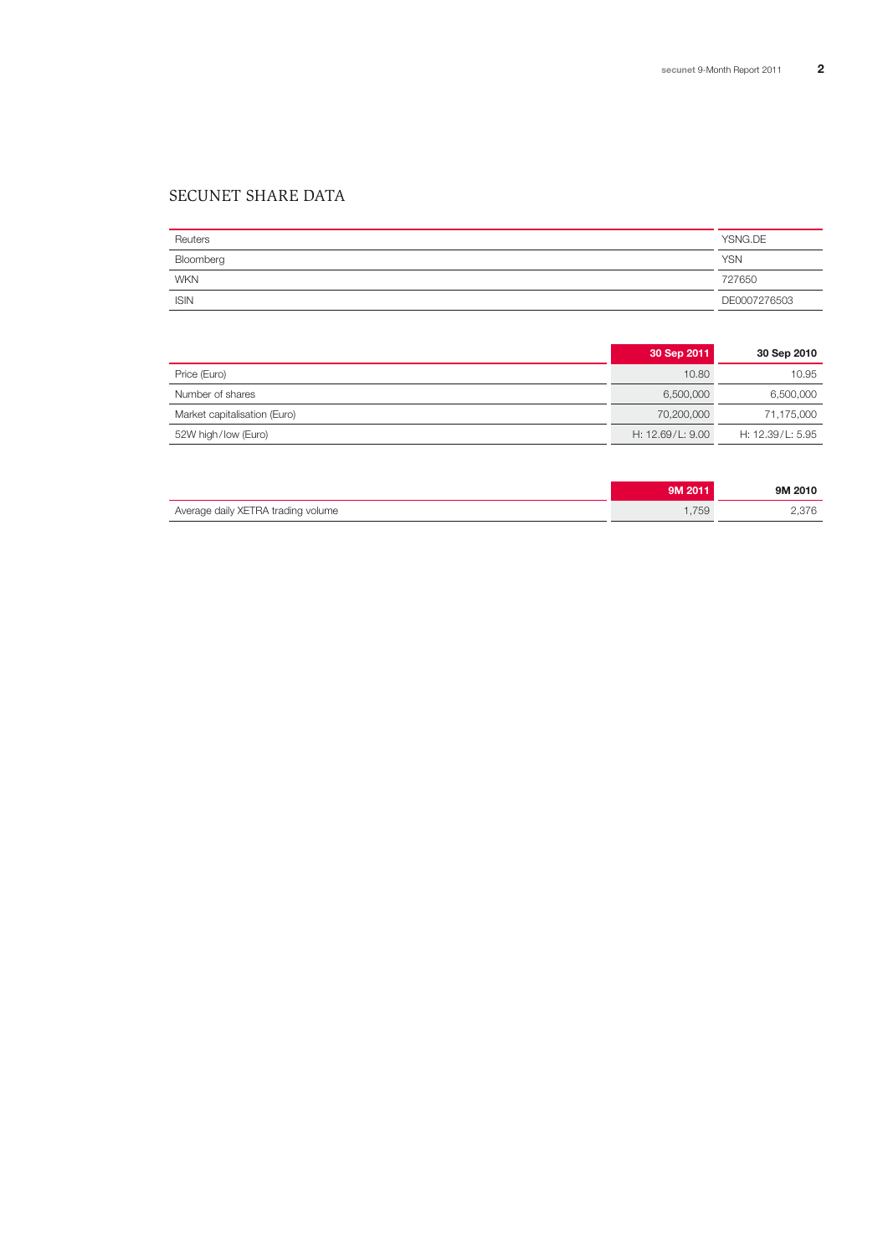# secunet share data

| Reuters     | YSNG.DE      |
|-------------|--------------|
| Bloomberg   | <b>YSN</b>   |
| <b>WKN</b>  | 727650       |
| <b>ISIN</b> | DE0007276503 |

|                              | 30 Sep 2011        | 30 Sep 2010      |
|------------------------------|--------------------|------------------|
| Price (Euro)                 | 10.80              | 10.95            |
| Number of shares             | 6.500.000          | 6,500,000        |
| Market capitalisation (Euro) | 70,200,000         | 71,175,000       |
| 52W high/low (Euro)          | H: $12.69/L: 9.00$ | H: 12.39/L: 5.95 |

|                                    | 9M 2011 | 9M 2010 |
|------------------------------------|---------|---------|
| Average daily XETRA trading volume | .759    | 2.376   |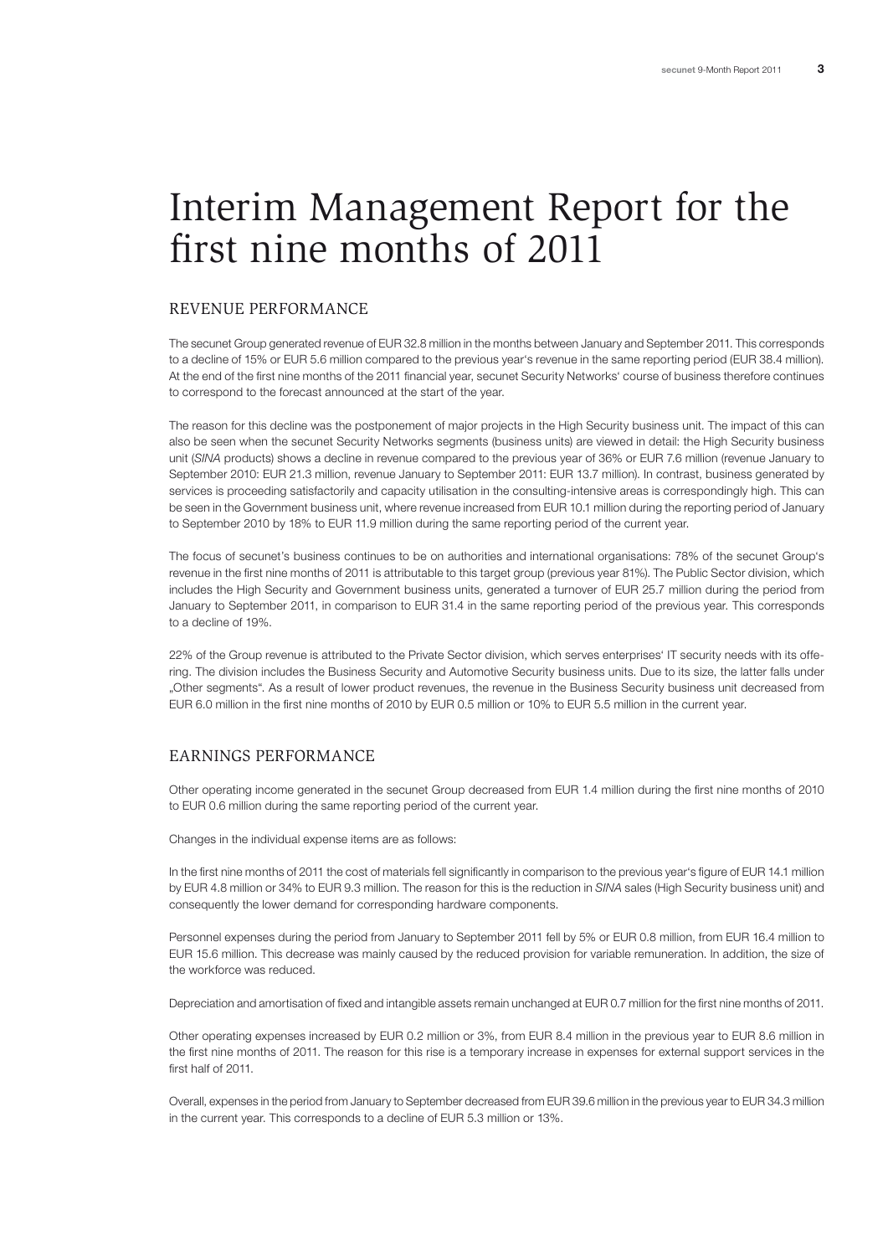# Interim Management Report for the first nine months of 2011

## Revenue performance

The secunet Group generated revenue of EUR 32.8 million in the months between January and September 2011. This corresponds to a decline of 15% or EUR 5.6 million compared to the previous year's revenue in the same reporting period (EUR 38.4 million). At the end of the first nine months of the 2011 financial year, secunet Security Networks' course of business therefore continues to correspond to the forecast announced at the start of the year.

The reason for this decline was the postponement of major projects in the High Security business unit. The impact of this can also be seen when the secunet Security Networks segments (business units) are viewed in detail: the High Security business unit (*SINA* products) shows a decline in revenue compared to the previous year of 36% or EUR 7.6 million (revenue January to September 2010: EUR 21.3 million, revenue January to September 2011: EUR 13.7 million). In contrast, business generated by services is proceeding satisfactorily and capacity utilisation in the consulting-intensive areas is correspondingly high. This can be seen in the Government business unit, where revenue increased from EUR 10.1 million during the reporting period of January to September 2010 by 18% to EUR 11.9 million during the same reporting period of the current year.

The focus of secunet's business continues to be on authorities and international organisations: 78% of the secunet Group's revenue in the first nine months of 2011 is attributable to this target group (previous year 81%). The Public Sector division, which includes the High Security and Government business units, generated a turnover of EUR 25.7 million during the period from January to September 2011, in comparison to EUR 31.4 in the same reporting period of the previous year. This corresponds to a decline of 19%.

22% of the Group revenue is attributed to the Private Sector division, which serves enterprises' IT security needs with its offering. The division includes the Business Security and Automotive Security business units. Due to its size, the latter falls under "Other segments". As a result of lower product revenues, the revenue in the Business Security business unit decreased from EUR 6.0 million in the first nine months of 2010 by EUR 0.5 million or 10% to EUR 5.5 million in the current year.

### Earnings performance

Other operating income generated in the secunet Group decreased from EUR 1.4 million during the first nine months of 2010 to EUR 0.6 million during the same reporting period of the current year.

Changes in the individual expense items are as follows:

In the first nine months of 2011 the cost of materials fell significantly in comparison to the previous year's figure of EUR 14.1 million by EUR 4.8 million or 34% to EUR 9.3 million. The reason for this is the reduction in *SINA* sales (High Security business unit) and consequently the lower demand for corresponding hardware components.

Personnel expenses during the period from January to September 2011 fell by 5% or EUR 0.8 million, from EUR 16.4 million to EUR 15.6 million. This decrease was mainly caused by the reduced provision for variable remuneration. In addition, the size of the workforce was reduced.

Depreciation and amortisation of fixed and intangible assets remain unchanged at EUR 0.7 million for the first nine months of 2011.

Other operating expenses increased by EUR 0.2 million or 3%, from EUR 8.4 million in the previous year to EUR 8.6 million in the first nine months of 2011. The reason for this rise is a temporary increase in expenses for external support services in the first half of 2011.

Overall, expenses in the period from January to September decreased from EUR 39.6 million in the previous year to EUR 34.3 million in the current year. This corresponds to a decline of EUR 5.3 million or 13%.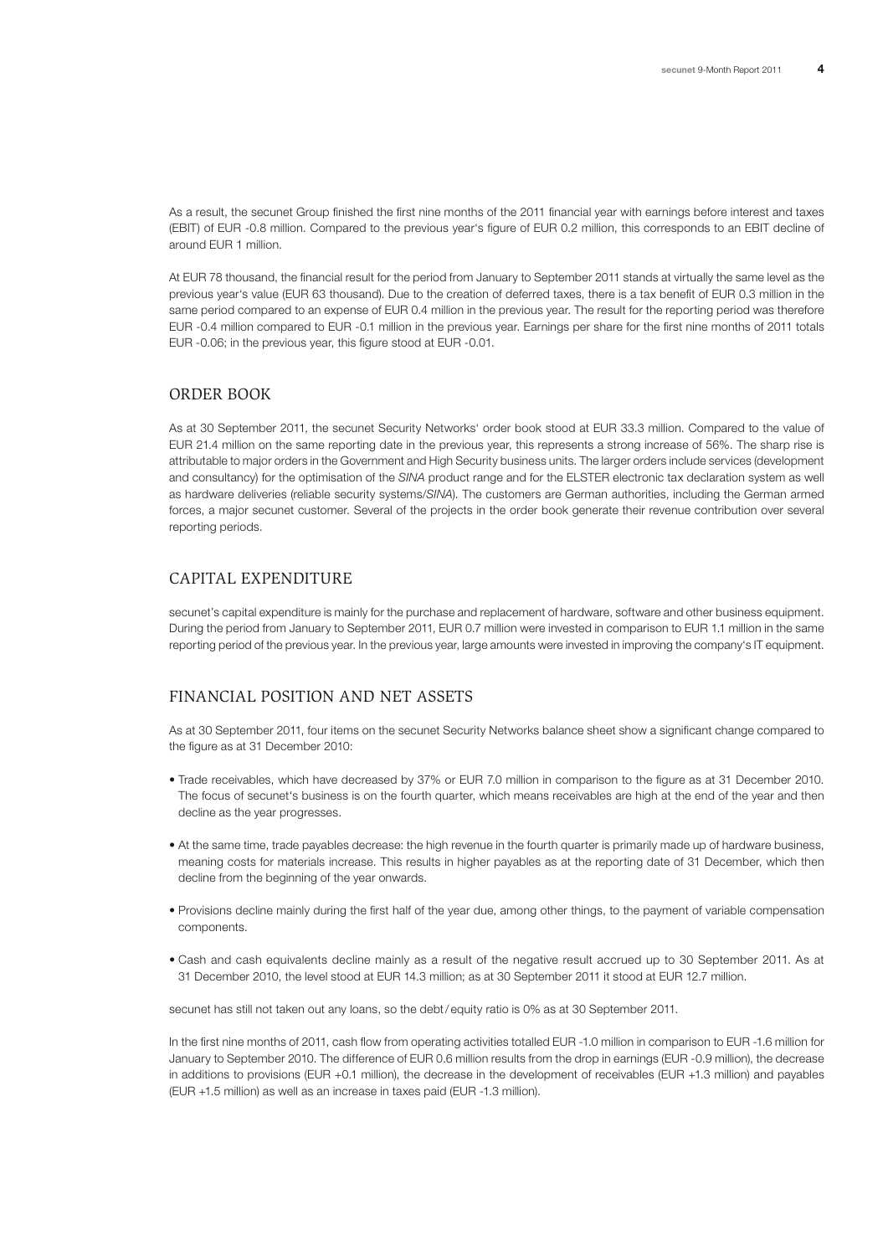As a result, the secunet Group finished the first nine months of the 2011 financial year with earnings before interest and taxes (EBIT) of EUR -0.8 million. Compared to the previous year's figure of EUR 0.2 million, this corresponds to an EBIT decline of around EUR 1 million.

At EUR 78 thousand, the financial result for the period from January to September 2011 stands at virtually the same level as the previous year's value (EUR 63 thousand). Due to the creation of deferred taxes, there is a tax benefit of EUR 0.3 million in the same period compared to an expense of EUR 0.4 million in the previous year. The result for the reporting period was therefore EUR -0.4 million compared to EUR -0.1 million in the previous year. Earnings per share for the first nine months of 2011 totals EUR -0.06; in the previous year, this figure stood at EUR -0.01.

#### ORDER BOOK

As at 30 September 2011, the secunet Security Networks' order book stood at EUR 33.3 million. Compared to the value of EUR 21.4 million on the same reporting date in the previous year, this represents a strong increase of 56%. The sharp rise is attributable to major orders in the Government and High Security business units. The larger orders include services (development and consultancy) for the optimisation of the *SINA* product range and for the ELSTER electronic tax declaration system as well as hardware deliveries (reliable security systems/*SINA*). The customers are German authorities, including the German armed forces, a major secunet customer. Several of the projects in the order book generate their revenue contribution over several reporting periods.

## Capital expenditure

secunet's capital expenditure is mainly for the purchase and replacement of hardware, software and other business equipment. During the period from January to September 2011, EUR 0.7 million were invested in comparison to EUR 1.1 million in the same reporting period of the previous year. In the previous year, large amounts were invested in improving the company's IT equipment.

## Financial position and net assets

As at 30 September 2011, four items on the secunet Security Networks balance sheet show a significant change compared to the figure as at 31 December 2010:

- Trade receivables, which have decreased by 37% or EUR 7.0 million in comparison to the figure as at 31 December 2010. The focus of secunet's business is on the fourth quarter, which means receivables are high at the end of the year and then decline as the year progresses.
- At the same time, trade payables decrease: the high revenue in the fourth quarter is primarily made up of hardware business, meaning costs for materials increase. This results in higher payables as at the reporting date of 31 December, which then decline from the beginning of the year onwards.
- Provisions decline mainly during the first half of the year due, among other things, to the payment of variable compensation components.
- Cash and cash equivalents decline mainly as a result of the negative result accrued up to 30 September 2011. As at 31 December 2010, the level stood at EUR 14.3 million; as at 30 September 2011 it stood at EUR 12.7 million.

secunet has still not taken out any loans, so the debt/equity ratio is 0% as at 30 September 2011.

In the first nine months of 2011, cash flow from operating activities totalled EUR -1.0 million in comparison to EUR -1.6 million for January to September 2010. The difference of EUR 0.6 million results from the drop in earnings (EUR -0.9 million), the decrease in additions to provisions (EUR +0.1 million), the decrease in the development of receivables (EUR +1.3 million) and payables (EUR +1.5 million) as well as an increase in taxes paid (EUR -1.3 million).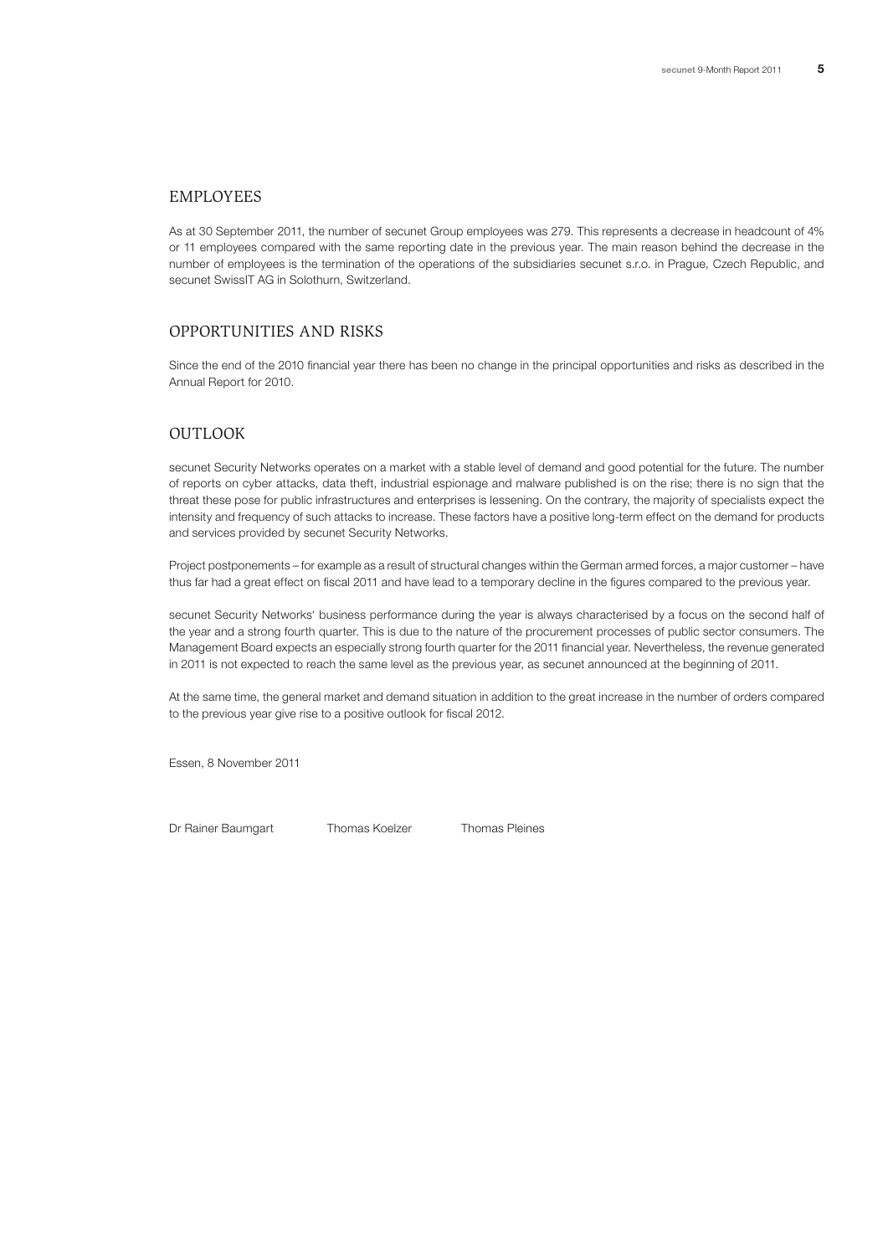#### **EMPLOYEES**

As at 30 September 2011, the number of secunet Group employees was 279. This represents a decrease in headcount of 4% or 11 employees compared with the same reporting date in the previous year. The main reason behind the decrease in the number of employees is the termination of the operations of the subsidiaries secunet s.r.o. in Prague, Czech Republic, and secunet SwissIT AG in Solothurn, Switzerland.

#### Opportunities and risks

Since the end of the 2010 financial year there has been no change in the principal opportunities and risks as described in the Annual Report for 2010.

## **OUTLOOK**

secunet Security Networks operates on a market with a stable level of demand and good potential for the future. The number of reports on cyber attacks, data theft, industrial espionage and malware published is on the rise; there is no sign that the threat these pose for public infrastructures and enterprises is lessening. On the contrary, the majority of specialists expect the intensity and frequency of such attacks to increase. These factors have a positive long-term effect on the demand for products and services provided by secunet Security Networks.

Project postponements – for example as a result of structural changes within the German armed forces, a major customer – have thus far had a great effect on fiscal 2011 and have lead to a temporary decline in the figures compared to the previous year.

secunet Security Networks' business performance during the year is always characterised by a focus on the second half of the year and a strong fourth quarter. This is due to the nature of the procurement processes of public sector consumers. The Management Board expects an especially strong fourth quarter for the 2011 financial year. Nevertheless, the revenue generated in 2011 is not expected to reach the same level as the previous year, as secunet announced at the beginning of 2011.

At the same time, the general market and demand situation in addition to the great increase in the number of orders compared to the previous year give rise to a positive outlook for fiscal 2012.

Essen, 8 November 2011

Dr Rainer Baumgart Thomas Koelzer Thomas Pleines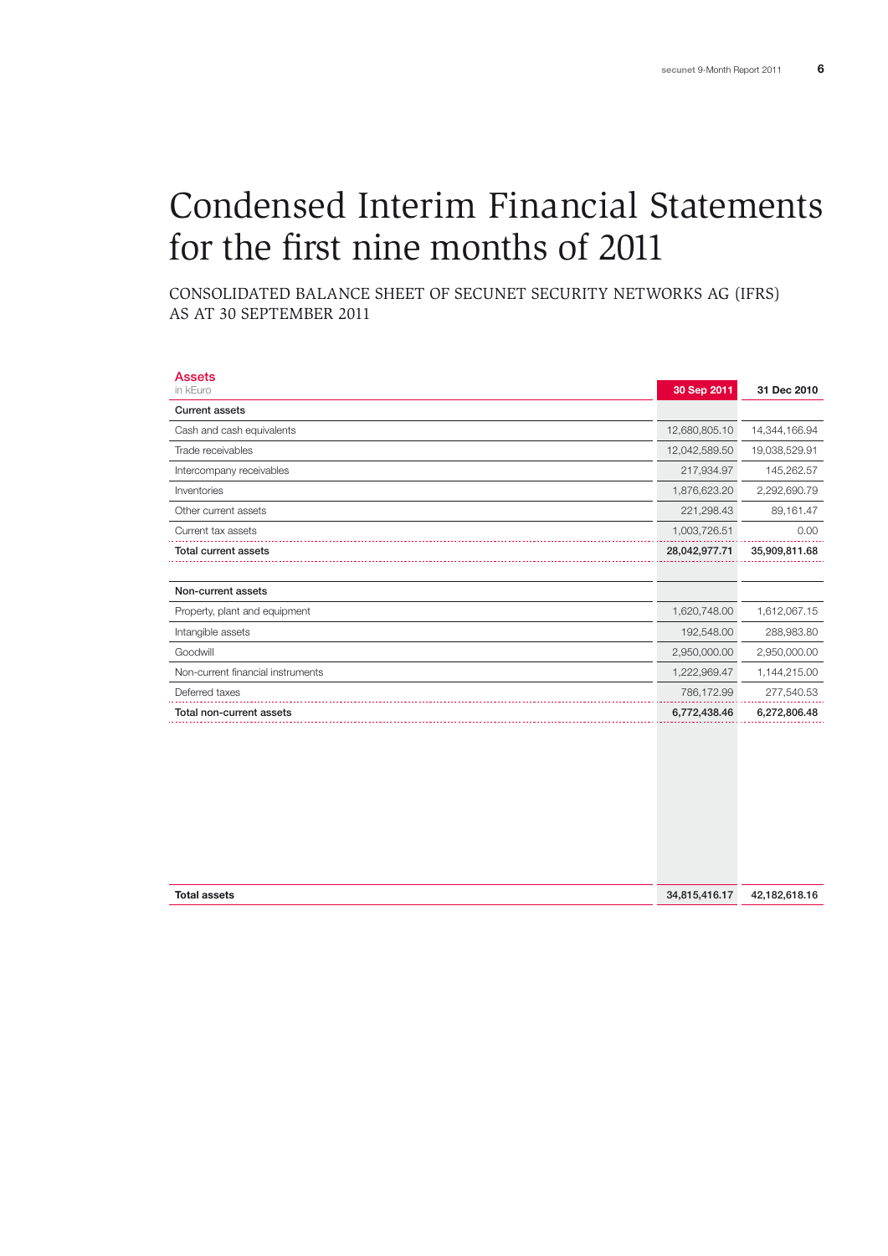# Condensed Interim Financial Statements for the first nine months of 2011

Consolidated Balance Sheet of secunet Security Networks AG (IFRS) as at 30 September 2011

| <b>Assets</b><br>in kEuro         | 30 Sep 2011   | 31 Dec 2010   |
|-----------------------------------|---------------|---------------|
| <b>Current assets</b>             |               |               |
| Cash and cash equivalents         | 12,680,805.10 | 14,344,166.94 |
| Trade receivables                 | 12,042,589.50 | 19,038,529.91 |
| Intercompany receivables          | 217,934.97    | 145,262.57    |
| Inventories                       | 1,876,623.20  | 2,292,690.79  |
| Other current assets              | 221,298.43    | 89,161.47     |
| Current tax assets                | 1,003,726.51  | 0.00          |
| <b>Total current assets</b>       | 28,042,977.71 | 35,909,811.68 |
|                                   |               |               |
| Non-current assets                |               |               |
| Property, plant and equipment     | 1,620,748.00  | 1,612,067.15  |
| Intangible assets                 | 192,548.00    | 288,983.80    |
| Goodwill                          | 2,950,000.00  | 2,950,000.00  |
| Non-current financial instruments | 1,222,969.47  | 1,144,215.00  |
| Deferred taxes                    | 786,172.99    | 277,540.53    |
| Total non-current assets          | 6,772,438.46  | 6,272,806.48  |
|                                   |               |               |

| <b>Total assets</b><br>1815.416.1.<br>42<br>34. |  |             |
|-------------------------------------------------|--|-------------|
|                                                 |  | .182.618.16 |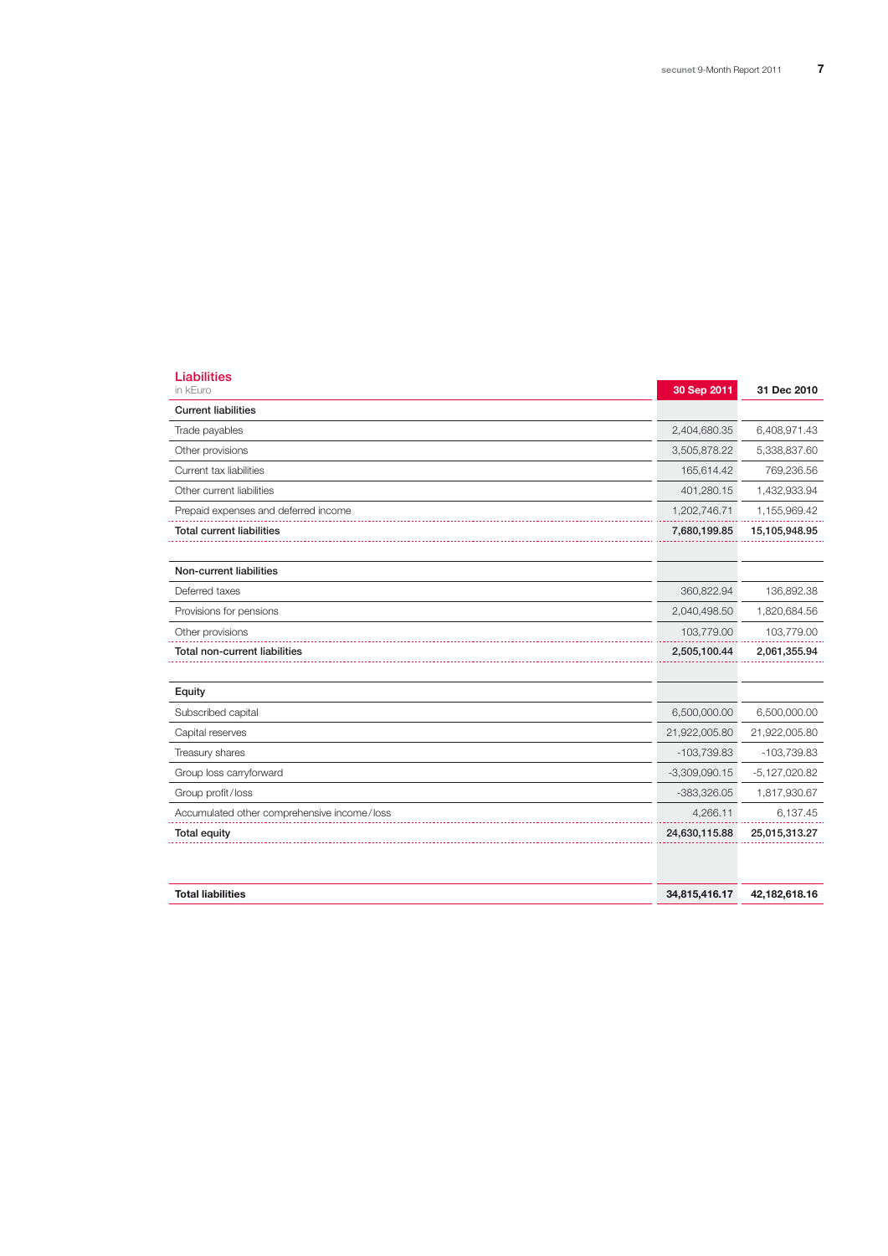| <b>Liabilities</b><br>in kEuro              | 30 Sep 2011     | 31 Dec 2010     |
|---------------------------------------------|-----------------|-----------------|
| <b>Current liabilities</b>                  |                 |                 |
| Trade payables                              | 2,404,680.35    | 6,408,971.43    |
| Other provisions                            | 3,505,878.22    | 5,338,837.60    |
| Current tax liabilities                     | 165,614.42      | 769,236.56      |
| Other current liabilities                   | 401,280.15      | 1,432,933.94    |
| Prepaid expenses and deferred income        | 1,202,746.71    | 1,155,969.42    |
| <b>Total current liabilities</b>            | 7,680,199.85    | 15,105,948.95   |
|                                             |                 |                 |
| Non-current liabilities                     |                 |                 |
| Deferred taxes                              | 360,822.94      | 136,892.38      |
| Provisions for pensions                     | 2,040,498.50    | 1,820,684.56    |
| Other provisions                            | 103,779.00      | 103,779.00      |
| Total non-current liabilities               | 2,505,100.44    | 2,061,355.94    |
|                                             |                 |                 |
| Equity                                      |                 |                 |
| Subscribed capital                          | 6,500,000.00    | 6,500,000.00    |
| Capital reserves                            | 21,922,005.80   | 21,922,005.80   |
| Treasury shares                             | $-103,739.83$   | $-103,739.83$   |
| Group loss carryforward                     | $-3,309,090.15$ | $-5,127,020.82$ |
| Group profit/loss                           | $-383,326.05$   | 1,817,930.67    |
| Accumulated other comprehensive income/loss | 4,266.11        | 6,137.45        |
| <b>Total equity</b>                         | 24,630,115.88   | 25,015,313.27   |
|                                             |                 |                 |
|                                             |                 |                 |
| <b>Total liabilities</b>                    | 34,815,416.17   | 42,182,618.16   |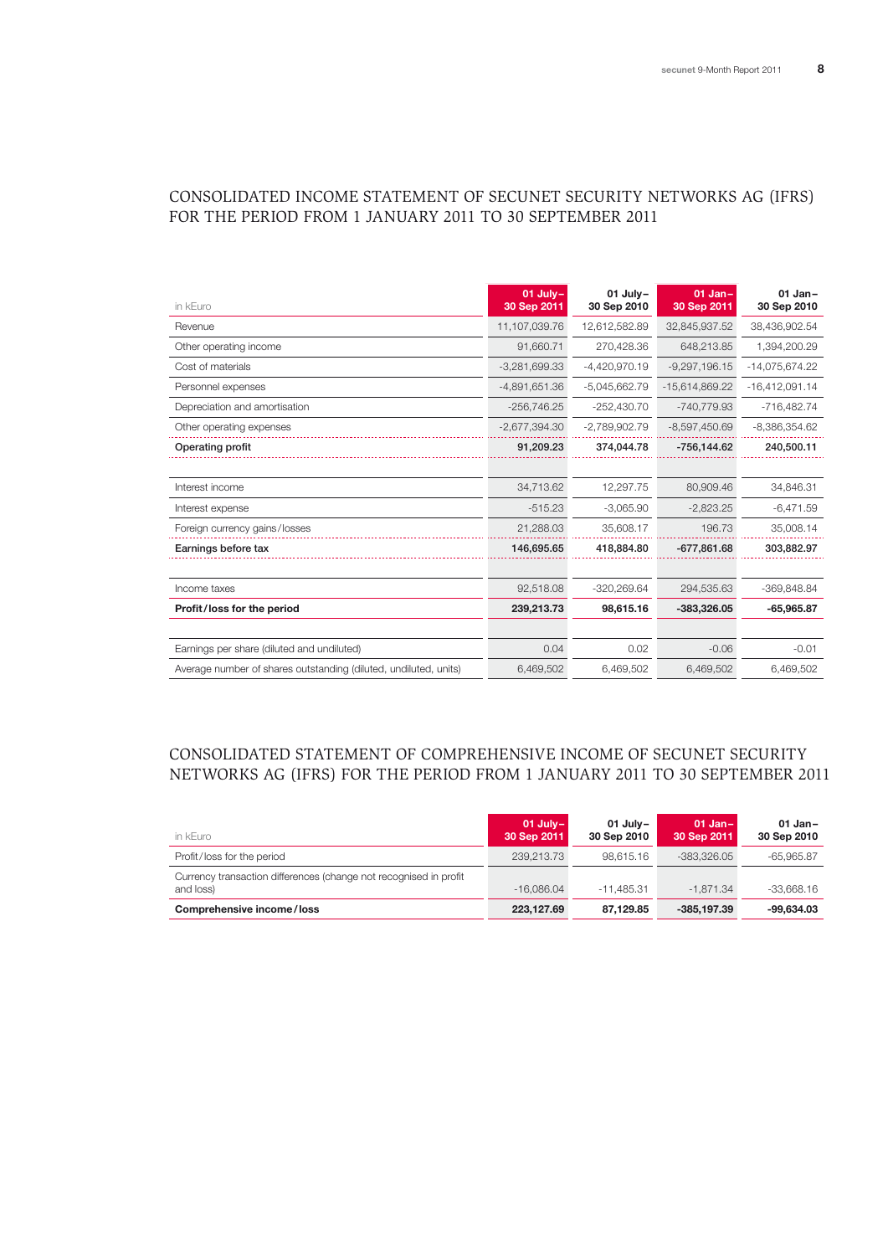## Consolidated Income Statement of secunet Security Networks AG (IFRS) for the period from 1 January 2011 to 30 September 2011

| in kEuro                                                         | $01$ July-<br>30 Sep 2011 | 01 July-<br>30 Sep 2010 | $01$ Jan-<br>30 Sep 2011 | $01$ Jan-<br>30 Sep 2010 |
|------------------------------------------------------------------|---------------------------|-------------------------|--------------------------|--------------------------|
| Revenue                                                          | 11,107,039.76             | 12,612,582.89           | 32,845,937.52            | 38,436,902.54            |
| Other operating income                                           | 91,660.71                 | 270,428.36              | 648,213.85               | 1,394,200.29             |
| Cost of materials                                                | $-3,281,699.33$           | $-4,420,970.19$         | $-9,297,196.15$          | -14,075,674.22           |
| Personnel expenses                                               | $-4,891,651.36$           | $-5,045,662.79$         | -15,614,869.22           | $-16,412,091.14$         |
| Depreciation and amortisation                                    | $-256,746.25$             | $-252,430.70$           | -740,779.93              | $-716,482.74$            |
| Other operating expenses                                         | $-2,677,394.30$           | $-2,789,902.79$         | $-8,597,450.69$          | $-8,386,354.62$          |
| Operating profit                                                 | 91,209.23                 | 374,044.78              | $-756.144.62$            | 240,500.11               |
|                                                                  |                           |                         |                          |                          |
| Interest income                                                  | 34,713.62                 | 12,297.75               | 80.909.46                | 34,846.31                |
| Interest expense                                                 | $-515.23$                 | $-3.065.90$             | $-2.823.25$              | $-6,471.59$              |
| Foreign currency gains/losses                                    | 21,288.03                 | 35.608.17               | 196.73                   | 35,008.14                |
| Earnings before tax                                              | 146.695.65                | 418.884.80              | $-677.861.68$            | 303.882.97               |
|                                                                  |                           |                         |                          |                          |
| Income taxes                                                     | 92,518.08                 | $-320.269.64$           | 294.535.63               | -369.848.84              |
| Profit/loss for the period                                       | 239,213.73                | 98,615.16               | -383,326.05              | $-65,965.87$             |
|                                                                  |                           |                         |                          |                          |
| Earnings per share (diluted and undiluted)                       | 0.04                      | 0.02                    | $-0.06$                  | $-0.01$                  |
| Average number of shares outstanding (diluted, undiluted, units) | 6,469,502                 | 6,469,502               | 6,469,502                | 6,469,502                |

## Consolidated Statement of Comprehensive Income of secunet Security Networks AG (IFRS) for the period from 1 January 2011 to 30 September 2011

| in kEuro                                                                       | $01$ July-<br>30 Sep 2011 | $01$ July-<br>30 Sep 2010 | 01 Jan- $\vert$<br>30 Sep 2011 | $01$ Jan-<br>30 Sep 2010 |
|--------------------------------------------------------------------------------|---------------------------|---------------------------|--------------------------------|--------------------------|
| Profit/loss for the period                                                     | 239.213.73                | 98.615.16                 | -383.326.05                    | $-65.965.87$             |
| Currency transaction differences (change not recognised in profit<br>and loss) | $-16.086.04$              | $-11.485.31$              | $-1.871.34$                    | $-33.668.16$             |
| Comprehensive income/loss                                                      | 223.127.69                | 87.129.85                 | $-385.197.39$                  | $-99.634.03$             |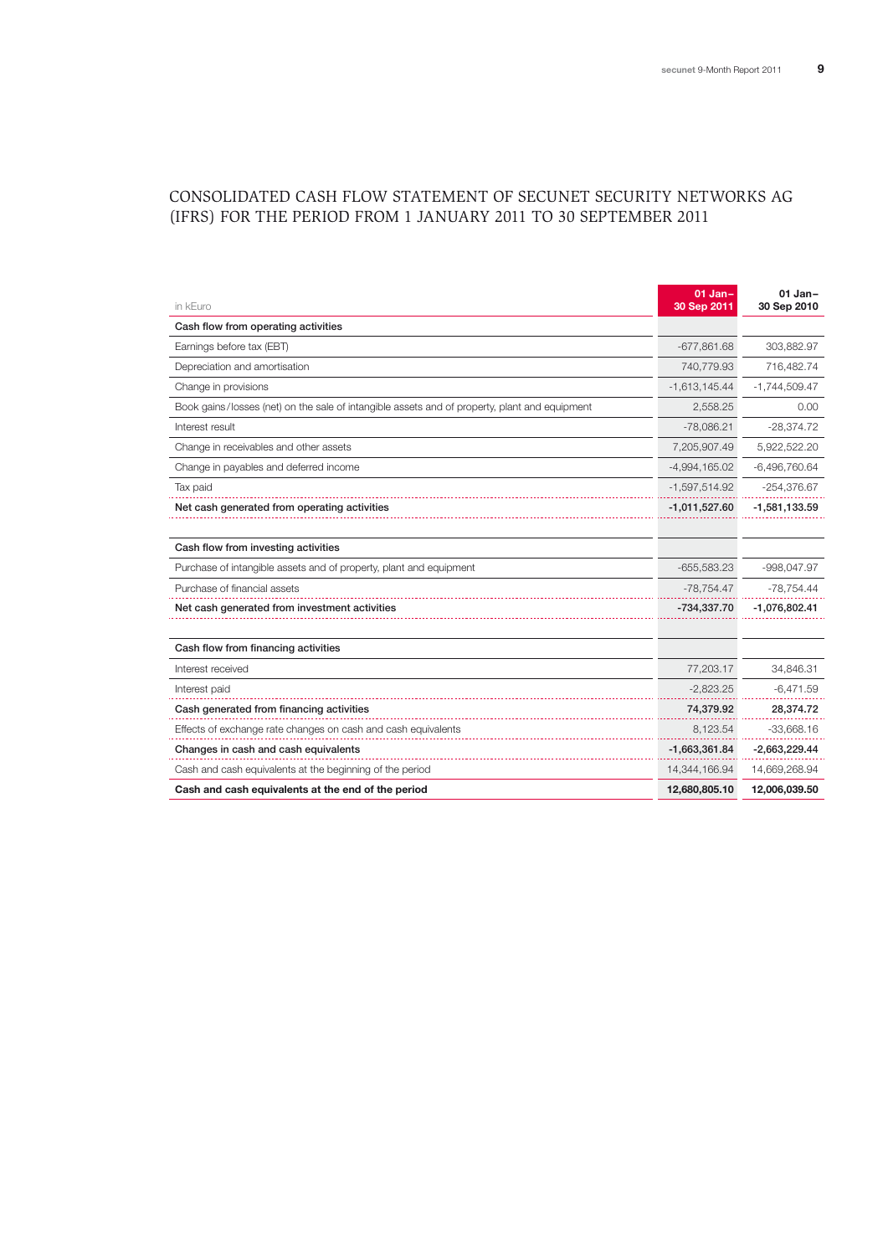# Consolidated Cash Flow Statement of secunet Security Networks AG (IFRS) for the period from 1 January 2011 to 30 September 2011

| in kEuro                                                                                      | $01$ Jan-<br>30 Sep 2011 | $01$ Jan-<br>30 Sep 2010 |
|-----------------------------------------------------------------------------------------------|--------------------------|--------------------------|
| Cash flow from operating activities                                                           |                          |                          |
| Earnings before tax (EBT)                                                                     | $-677,861.68$            | 303,882.97               |
| Depreciation and amortisation                                                                 | 740,779.93               | 716,482.74               |
| Change in provisions                                                                          | $-1,613,145.44$          | $-1,744,509.47$          |
| Book gains/losses (net) on the sale of intangible assets and of property, plant and equipment | 2,558.25                 | 0.00                     |
| Interest result                                                                               | $-78,086.21$             | $-28,374.72$             |
| Change in receivables and other assets                                                        | 7,205,907.49             | 5,922,522.20             |
| Change in payables and deferred income                                                        | $-4,994,165.02$          | $-6,496,760.64$          |
| Tax paid                                                                                      | $-1,597,514.92$          | $-254,376.67$            |
| Net cash generated from operating activities                                                  | $-1,011,527.60$          | $-1,581,133.59$          |
|                                                                                               |                          |                          |
| Cash flow from investing activities                                                           |                          |                          |
| Purchase of intangible assets and of property, plant and equipment                            | $-655,583.23$            | $-998,047.97$            |
| Purchase of financial assets                                                                  | $-78,754.47$             | $-78,754.44$             |
| Net cash generated from investment activities                                                 | -734,337.70              | $-1,076,802.41$          |
|                                                                                               |                          |                          |
| Cash flow from financing activities                                                           |                          |                          |
| Interest received                                                                             | 77,203.17                | 34,846.31                |
| Interest paid                                                                                 | $-2,823.25$              | $-6,471.59$              |
| Cash generated from financing activities                                                      | 74,379.92                | 28,374.72                |
| Effects of exchange rate changes on cash and cash equivalents                                 | 8,123.54                 | $-33,668.16$             |
| Changes in cash and cash equivalents                                                          | $-1,663,361.84$          | $-2,663,229.44$          |
| Cash and cash equivalents at the beginning of the period                                      | 14,344,166.94            | 14,669,268.94            |
| Cash and cash equivalents at the end of the period                                            | 12,680,805.10            | 12,006,039.50            |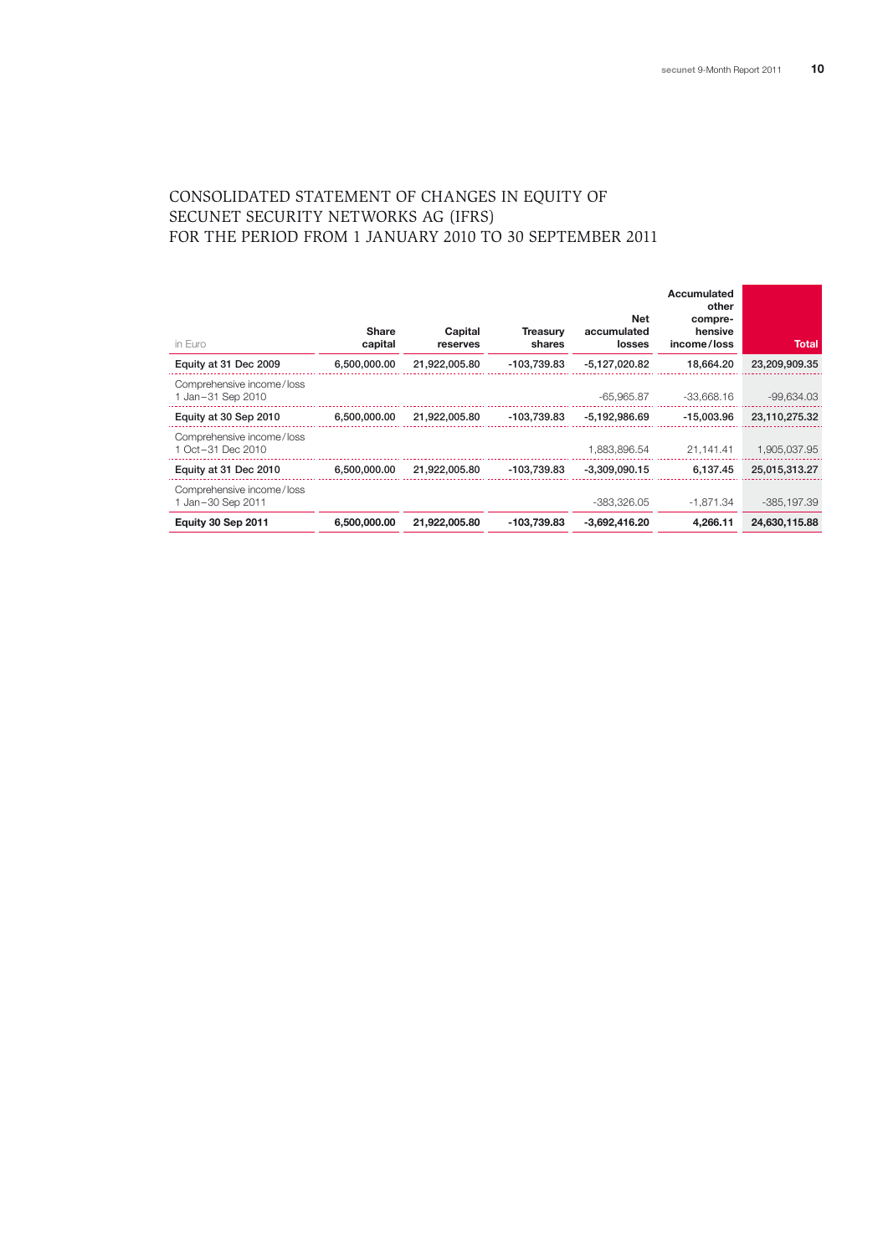## Consolidated Statement of Changes in Equity of secunet Security Networks AG (IFRS) for the period from 1 January 2010 to 30 September 2011

| in Euro                                          | <b>Share</b><br>capital | Capital<br>reserves | <b>Treasurv</b><br>shares | Net<br>accumulated<br>losses | Accumulated<br>other<br>compre-<br>hensive<br>income/loss | Total         |
|--------------------------------------------------|-------------------------|---------------------|---------------------------|------------------------------|-----------------------------------------------------------|---------------|
| Equity at 31 Dec 2009                            | 6,500,000.00            | 21,922,005.80       | -103,739.83               | -5.127.020.82                | 18.664.20                                                 | 23,209,909.35 |
| Comprehensive income/loss<br>1 Jan-31 Sep 2010   |                         |                     |                           | -65.965.87                   | $-33.668.16$                                              | $-99,634.03$  |
| Equity at 30 Sep 2010                            | 6.500.000.00            | 21,922,005.80       | -103,739.83               | -5.192.986.69                | $-15.003.96$                                              | 23,110,275.32 |
| Comprehensive income/loss<br>1 Oct - 31 Dec 2010 |                         |                     |                           | 1.883.896.54                 | 21,141.41                                                 | 1,905,037.95  |
| Equity at 31 Dec 2010                            | 6,500,000.00            | 21,922,005.80       | -103,739.83               | $-3.309.090.15$              | 6.137.45                                                  | 25,015,313.27 |
| Comprehensive income/loss<br>1 Jan-30 Sep 2011   |                         |                     |                           | -383.326.05                  | $-1.871.34$                                               | $-385.197.39$ |
| Equity 30 Sep 2011                               | 6,500,000,00            | 21.922.005.80       | -103.739.83               | $-3.692.416.20$              | 4.266.11                                                  | 24,630,115.88 |
|                                                  |                         |                     |                           |                              |                                                           |               |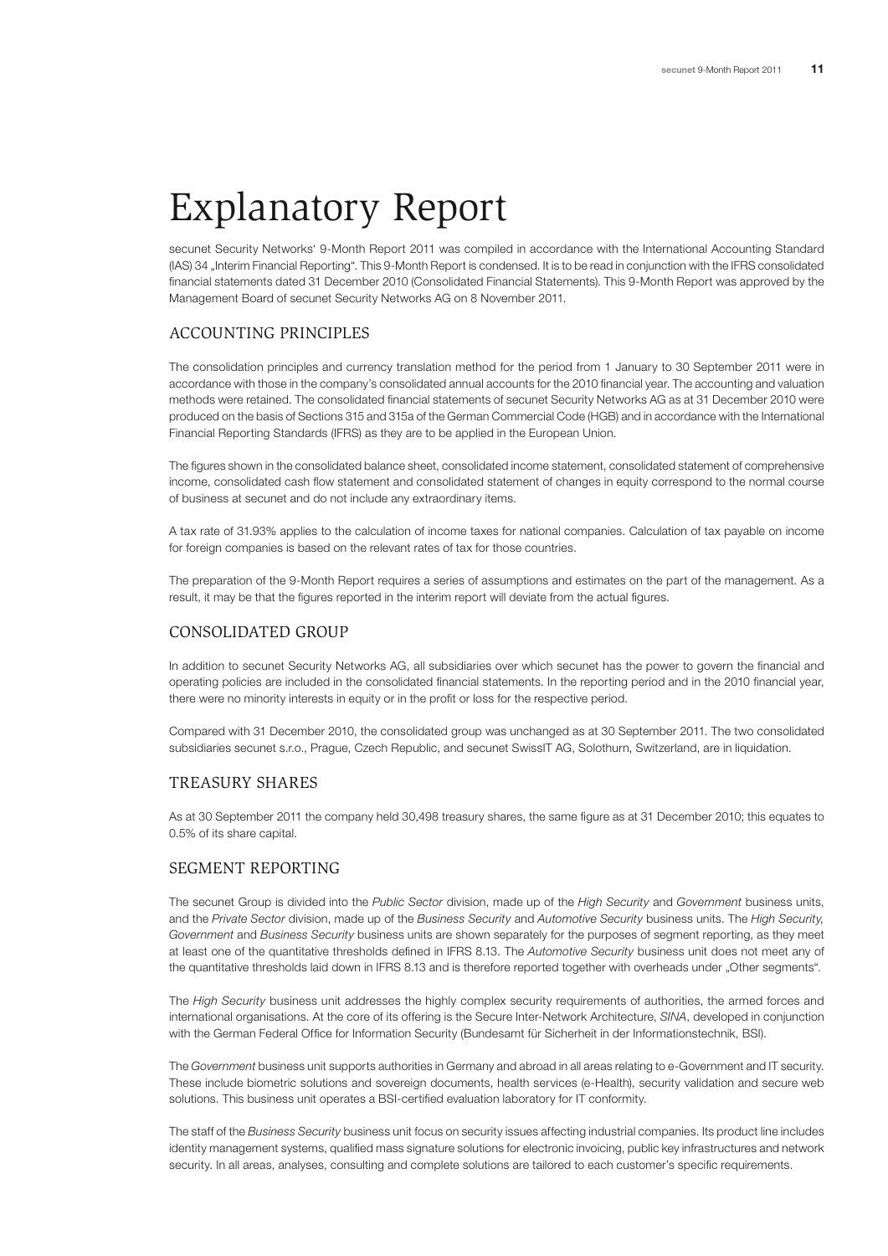# Explanatory Report

secunet Security Networks' 9-Month Report 2011 was compiled in accordance with the International Accounting Standard (IAS) 34 "Interim Financial Reporting". This 9-Month Report is condensed. It is to be read in conjunction with the IFRS consolidated financial statements dated 31 December 2010 (Consolidated Financial Statements). This 9-Month Report was approved by the Management Board of secunet Security Networks AG on 8 November 2011.

#### Accounting Principles

The consolidation principles and currency translation method for the period from 1 January to 30 September 2011 were in accordance with those in the company's consolidated annual accounts for the 2010 financial year. The accounting and valuation methods were retained. The consolidated financial statements of secunet Security Networks AG as at 31 December 2010 were produced on the basis of Sections 315 and 315a of the German Commercial Code (HGB) and in accordance with the International Financial Reporting Standards (IFRS) as they are to be applied in the European Union.

The figures shown in the consolidated balance sheet, consolidated income statement, consolidated statement of comprehensive income, consolidated cash flow statement and consolidated statement of changes in equity correspond to the normal course of business at secunet and do not include any extraordinary items.

A tax rate of 31.93% applies to the calculation of income taxes for national companies. Calculation of tax payable on income for foreign companies is based on the relevant rates of tax for those countries.

The preparation of the 9-Month Report requires a series of assumptions and estimates on the part of the management. As a result, it may be that the figures reported in the interim report will deviate from the actual figures.

#### Consolidated group

In addition to secunet Security Networks AG, all subsidiaries over which secunet has the power to govern the financial and operating policies are included in the consolidated financial statements. In the reporting period and in the 2010 financial year, there were no minority interests in equity or in the profit or loss for the respective period.

Compared with 31 December 2010, the consolidated group was unchanged as at 30 September 2011. The two consolidated subsidiaries secunet s.r.o., Prague, Czech Republic, and secunet SwissIT AG, Solothurn, Switzerland, are in liquidation.

## Treasury shares

As at 30 September 2011 the company held 30,498 treasury shares, the same figure as at 31 December 2010; this equates to 0.5% of its share capital.

#### Segment reporting

The secunet Group is divided into the *Public Sector* division, made up of the *High Security* and *Government* business units, and the *Private Sector* division, made up of the *Business Security* and *Automotive Security* business units. The *High Security, Government* and *Business Security* business units are shown separately for the purposes of segment reporting, as they meet at least one of the quantitative thresholds defined in IFRS 8.13. The *Automotive Security* business unit does not meet any of the quantitative thresholds laid down in IFRS 8.13 and is therefore reported together with overheads under "Other segments".

The *High Security* business unit addresses the highly complex security requirements of authorities, the armed forces and international organisations. At the core of its offering is the Secure Inter-Network Architecture, *SINA*, developed in conjunction with the German Federal Office for Information Security (Bundesamt für Sicherheit in der Informationstechnik, BSI).

The *Government* business unit supports authorities in Germany and abroad in all areas relating to e-Government and IT security. These include biometric solutions and sovereign documents, health services (e-Health), security validation and secure web solutions. This business unit operates a BSI-certified evaluation laboratory for IT conformity.

The staff of the *Business Security* business unit focus on security issues affecting industrial companies. Its product line includes identity management systems, qualified mass signature solutions for electronic invoicing, public key infrastructures and network security. In all areas, analyses, consulting and complete solutions are tailored to each customer's specific requirements.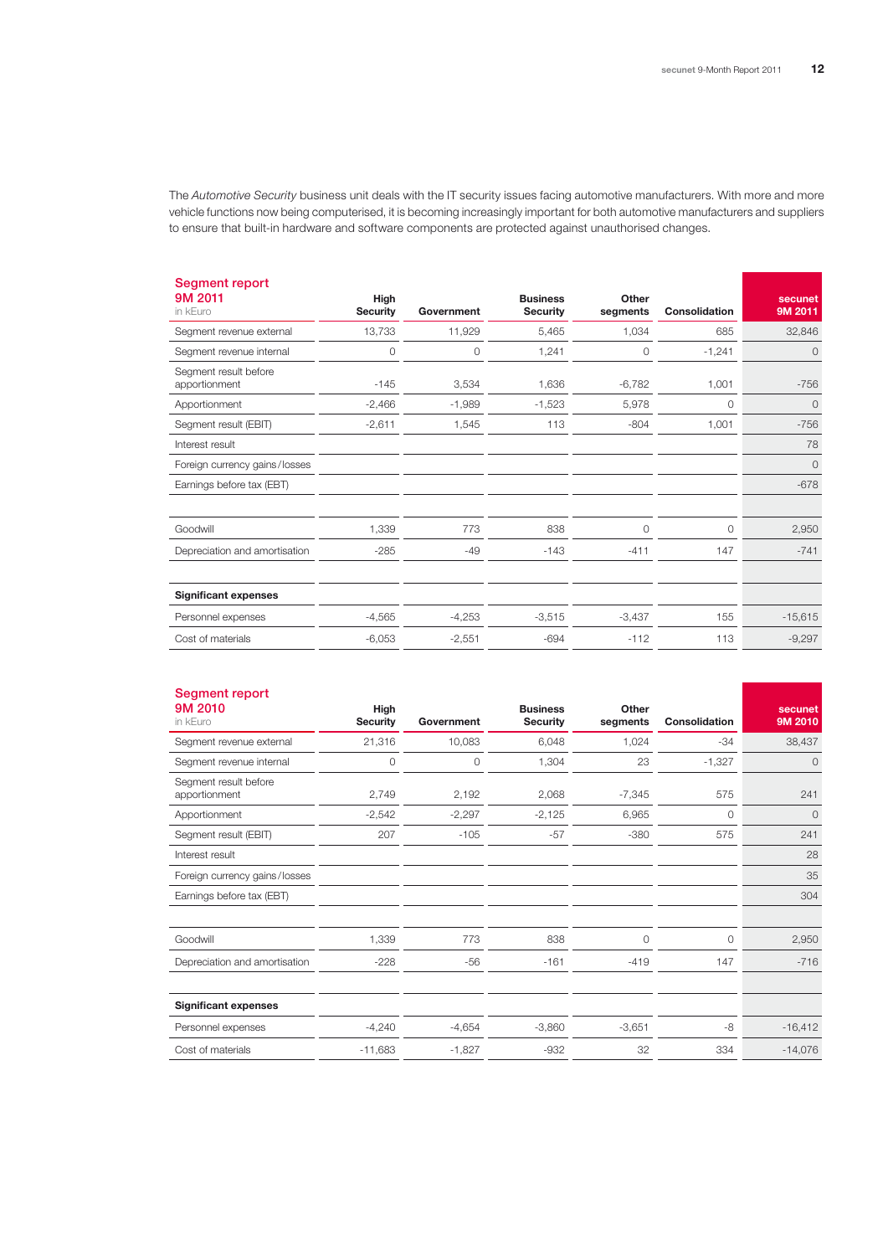The *Automotive Security* business unit deals with the IT security issues facing automotive manufacturers. With more and more vehicle functions now being computerised, it is becoming increasingly important for both automotive manufacturers and suppliers to ensure that built-in hardware and software components are protected against unauthorised changes.

| Segment report<br>9M 2011<br>in kEuro  | High<br><b>Security</b> | Government | <b>Business</b><br><b>Security</b> | Other<br>segments | <b>Consolidation</b> | secunet<br>9M 2011 |
|----------------------------------------|-------------------------|------------|------------------------------------|-------------------|----------------------|--------------------|
| Segment revenue external               | 13,733                  | 11,929     | 5,465                              | 1,034             | 685                  | 32,846             |
| Segment revenue internal               | 0                       | 0          | 1,241                              | $\Omega$          | $-1,241$             | 0                  |
| Segment result before<br>apportionment | $-145$                  | 3,534      | 1,636                              | $-6,782$          | 1,001                | $-756$             |
| Apportionment                          | $-2,466$                | $-1,989$   | $-1,523$                           | 5,978             | 0                    | 0                  |
| Segment result (EBIT)                  | $-2,611$                | 1,545      | 113                                | $-804$            | 1,001                | $-756$             |
| Interest result                        |                         |            |                                    |                   |                      | 78                 |
| Foreign currency gains/losses          |                         |            |                                    |                   |                      | 0                  |
| Earnings before tax (EBT)              |                         |            |                                    |                   |                      | $-678$             |
| Goodwill                               | 1,339                   | 773        | 838                                | $\Omega$          | $\circ$              | 2,950              |
| Depreciation and amortisation          | $-285$                  | $-49$      | $-143$                             | $-411$            | 147                  | $-741$             |
| <b>Significant expenses</b>            |                         |            |                                    |                   |                      |                    |
| Personnel expenses                     | $-4,565$                | $-4,253$   | $-3,515$                           | $-3,437$          | 155                  | $-15,615$          |
| Cost of materials                      | $-6,053$                | $-2,551$   | $-694$                             | $-112$            | 113                  | $-9,297$           |

| Segment report<br>9M 2010<br>in kEuro  | High<br><b>Security</b> | Government | <b>Business</b><br><b>Security</b> | Other<br>segments | <b>Consolidation</b> | secunet<br>9M 2010 |
|----------------------------------------|-------------------------|------------|------------------------------------|-------------------|----------------------|--------------------|
| Segment revenue external               | 21,316                  | 10,083     | 6,048                              | 1,024             | $-34$                | 38,437             |
| Segment revenue internal               | $\circ$                 | $\circ$    | 1,304                              | 23                | $-1,327$             | $\circ$            |
| Segment result before<br>apportionment | 2,749                   | 2,192      | 2,068                              | $-7,345$          | 575                  | 241                |
| Apportionment                          | $-2,542$                | $-2,297$   | $-2,125$                           | 6,965             | $\circ$              | $\overline{0}$     |
| Segment result (EBIT)                  | 207                     | $-105$     | $-57$                              | $-380$            | 575                  | 241                |
| Interest result                        |                         |            |                                    |                   |                      | 28                 |
| Foreign currency gains/losses          |                         |            |                                    |                   |                      | 35                 |
| Earnings before tax (EBT)              |                         |            |                                    |                   |                      | 304                |
| Goodwill                               | 1,339                   | 773        | 838                                | $\circ$           | $\circ$              | 2,950              |
| Depreciation and amortisation          | $-228$                  | $-56$      | $-161$                             | $-419$            | 147                  | $-716$             |
| <b>Significant expenses</b>            |                         |            |                                    |                   |                      |                    |
| Personnel expenses                     | $-4,240$                | $-4,654$   | $-3,860$                           | $-3,651$          | -8                   | $-16,412$          |
| Cost of materials                      | $-11,683$               | $-1,827$   | $-932$                             | 32                | 334                  | $-14,076$          |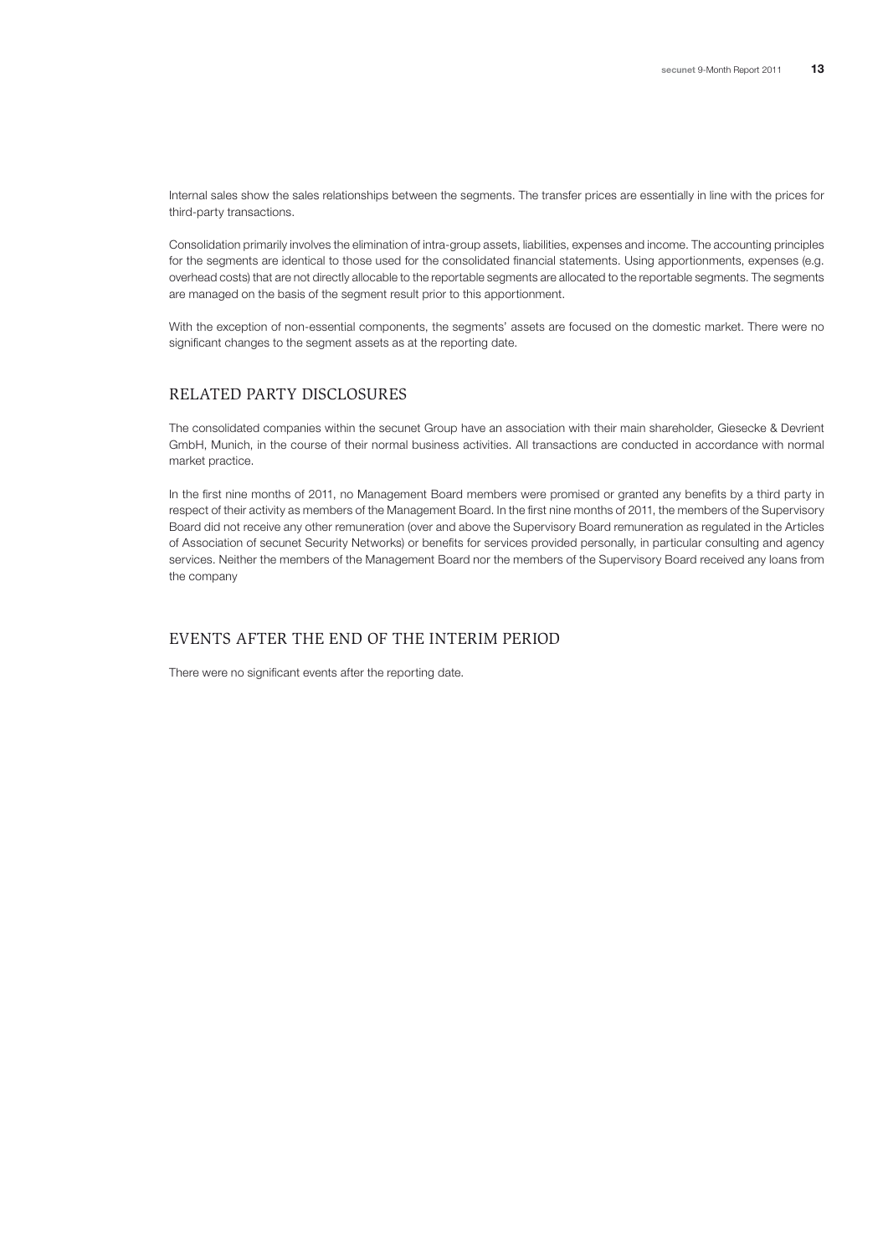Internal sales show the sales relationships between the segments. The transfer prices are essentially in line with the prices for third-party transactions.

Consolidation primarily involves the elimination of intra-group assets, liabilities, expenses and income. The accounting principles for the segments are identical to those used for the consolidated financial statements. Using apportionments, expenses (e.g. overhead costs) that are not directly allocable to the reportable segments are allocated to the reportable segments. The segments are managed on the basis of the segment result prior to this apportionment.

With the exception of non-essential components, the segments' assets are focused on the domestic market. There were no significant changes to the segment assets as at the reporting date.

## Related party disclosures

The consolidated companies within the secunet Group have an association with their main shareholder, Giesecke & Devrient GmbH, Munich, in the course of their normal business activities. All transactions are conducted in accordance with normal market practice.

In the first nine months of 2011, no Management Board members were promised or granted any benefits by a third party in respect of their activity as members of the Management Board. In the first nine months of 2011, the members of the Supervisory Board did not receive any other remuneration (over and above the Supervisory Board remuneration as regulated in the Articles of Association of secunet Security Networks) or benefits for services provided personally, in particular consulting and agency services. Neither the members of the Management Board nor the members of the Supervisory Board received any loans from the company

## Events after the end of the interim period

There were no significant events after the reporting date.